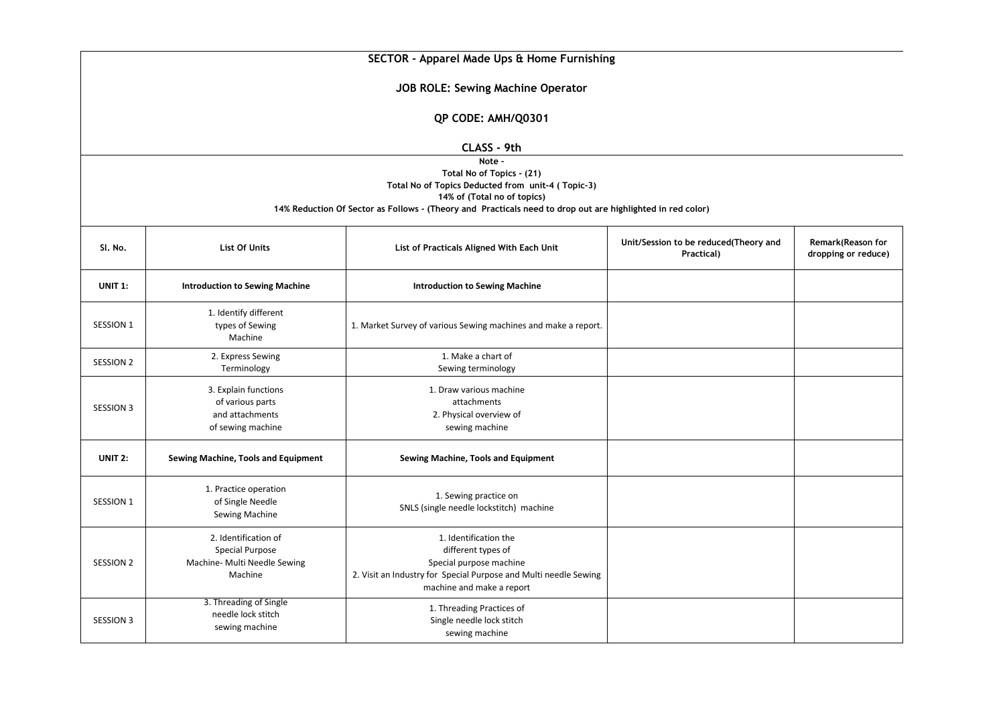| SECTOR - Apparel Made Ups & Home Furnishing                                                                                                                                                                                           |                                                                                           |                                                                                                                                                                         |                                                     |                                          |  |  |  |  |
|---------------------------------------------------------------------------------------------------------------------------------------------------------------------------------------------------------------------------------------|-------------------------------------------------------------------------------------------|-------------------------------------------------------------------------------------------------------------------------------------------------------------------------|-----------------------------------------------------|------------------------------------------|--|--|--|--|
| <b>JOB ROLE: Sewing Machine Operator</b>                                                                                                                                                                                              |                                                                                           |                                                                                                                                                                         |                                                     |                                          |  |  |  |  |
| QP CODE: AMH/Q0301                                                                                                                                                                                                                    |                                                                                           |                                                                                                                                                                         |                                                     |                                          |  |  |  |  |
| CLASS - 9th                                                                                                                                                                                                                           |                                                                                           |                                                                                                                                                                         |                                                     |                                          |  |  |  |  |
| Note -<br>Total No of Topics - (21)<br>Total No of Topics Deducted from unit-4 (Topic-3)<br>14% of (Total no of topics)<br>14% Reduction Of Sector as Follows - (Theory and Practicals need to drop out are highlighted in red color) |                                                                                           |                                                                                                                                                                         |                                                     |                                          |  |  |  |  |
| SI. No.                                                                                                                                                                                                                               | <b>List Of Units</b>                                                                      | List of Practicals Aligned With Each Unit                                                                                                                               | Unit/Session to be reduced(Theory and<br>Practical) | Remark(Reason for<br>dropping or reduce) |  |  |  |  |
| <b>UNIT 1:</b>                                                                                                                                                                                                                        | <b>Introduction to Sewing Machine</b>                                                     | <b>Introduction to Sewing Machine</b>                                                                                                                                   |                                                     |                                          |  |  |  |  |
| <b>SESSION 1</b>                                                                                                                                                                                                                      | 1. Identify different<br>types of Sewing<br>Machine                                       | 1. Market Survey of various Sewing machines and make a report.                                                                                                          |                                                     |                                          |  |  |  |  |
| <b>SESSION 2</b>                                                                                                                                                                                                                      | 2. Express Sewing<br>Terminology                                                          | 1. Make a chart of<br>Sewing terminology                                                                                                                                |                                                     |                                          |  |  |  |  |
| <b>SESSION 3</b>                                                                                                                                                                                                                      | 3. Explain functions<br>of various parts<br>and attachments<br>of sewing machine          | 1. Draw various machine<br>attachments<br>2. Physical overview of<br>sewing machine                                                                                     |                                                     |                                          |  |  |  |  |
| UNIT 2:                                                                                                                                                                                                                               | Sewing Machine, Tools and Equipment                                                       | Sewing Machine, Tools and Equipment                                                                                                                                     |                                                     |                                          |  |  |  |  |
| SESSION 1                                                                                                                                                                                                                             | 1. Practice operation<br>of Single Needle<br>Sewing Machine                               | 1. Sewing practice on<br>SNLS (single needle lockstitch) machine                                                                                                        |                                                     |                                          |  |  |  |  |
| <b>SESSION 2</b>                                                                                                                                                                                                                      | 2. Identification of<br><b>Special Purpose</b><br>Machine- Multi Needle Sewing<br>Machine | 1. Identification the<br>different types of<br>Special purpose machine<br>2. Visit an Industry for Special Purpose and Multi needle Sewing<br>machine and make a report |                                                     |                                          |  |  |  |  |
| <b>SESSION 3</b>                                                                                                                                                                                                                      | 3. Threading of Single<br>needle lock stitch<br>sewing machine                            | 1. Threading Practices of<br>Single needle lock stitch<br>sewing machine                                                                                                |                                                     |                                          |  |  |  |  |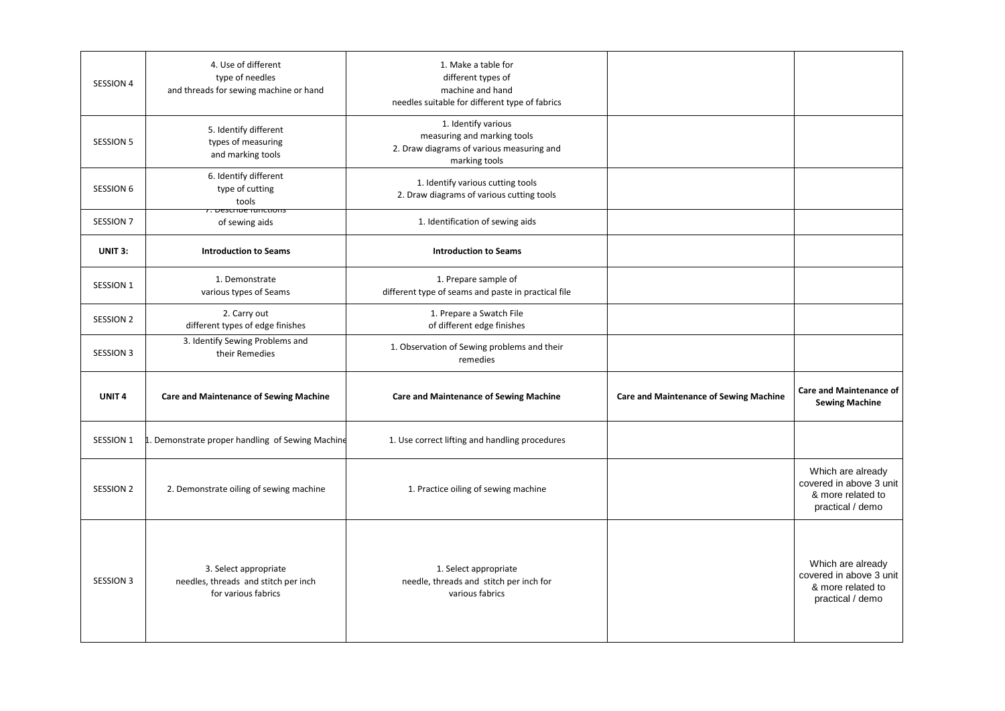| SESSION 4         | 4. Use of different<br>type of needles<br>and threads for sewing machine or hand     | 1. Make a table for<br>different types of<br>machine and hand<br>needles suitable for different type of fabrics  |                                               |                                                                                       |
|-------------------|--------------------------------------------------------------------------------------|------------------------------------------------------------------------------------------------------------------|-----------------------------------------------|---------------------------------------------------------------------------------------|
| <b>SESSION 5</b>  | 5. Identify different<br>types of measuring<br>and marking tools                     | 1. Identify various<br>measuring and marking tools<br>2. Draw diagrams of various measuring and<br>marking tools |                                               |                                                                                       |
| SESSION 6         | 6. Identify different<br>type of cutting<br>tools                                    | 1. Identify various cutting tools<br>2. Draw diagrams of various cutting tools                                   |                                               |                                                                                       |
| SESSION 7         | <del>, Describe Tunctions</del><br>of sewing aids                                    | 1. Identification of sewing aids                                                                                 |                                               |                                                                                       |
| UNIT 3:           | <b>Introduction to Seams</b>                                                         | <b>Introduction to Seams</b>                                                                                     |                                               |                                                                                       |
| SESSION 1         | 1. Demonstrate<br>various types of Seams                                             | 1. Prepare sample of<br>different type of seams and paste in practical file                                      |                                               |                                                                                       |
| SESSION 2         | 2. Carry out<br>different types of edge finishes                                     | 1. Prepare a Swatch File<br>of different edge finishes                                                           |                                               |                                                                                       |
| <b>SESSION 3</b>  | 3. Identify Sewing Problems and<br>their Remedies                                    | 1. Observation of Sewing problems and their<br>remedies                                                          |                                               |                                                                                       |
| UNIT <sub>4</sub> | <b>Care and Maintenance of Sewing Machine</b>                                        | <b>Care and Maintenance of Sewing Machine</b>                                                                    | <b>Care and Maintenance of Sewing Machine</b> | <b>Care and Maintenance of</b><br><b>Sewing Machine</b>                               |
| SESSION 1         | Demonstrate proper handling of Sewing Machine                                        | 1. Use correct lifting and handling procedures                                                                   |                                               |                                                                                       |
| SESSION 2         | 2. Demonstrate oiling of sewing machine                                              | 1. Practice oiling of sewing machine                                                                             |                                               | Which are already<br>covered in above 3 unit<br>& more related to<br>practical / demo |
| <b>SESSION 3</b>  | 3. Select appropriate<br>needles, threads and stitch per inch<br>for various fabrics | 1. Select appropriate<br>needle, threads and stitch per inch for<br>various fabrics                              |                                               | Which are already<br>covered in above 3 unit<br>& more related to<br>practical / demo |